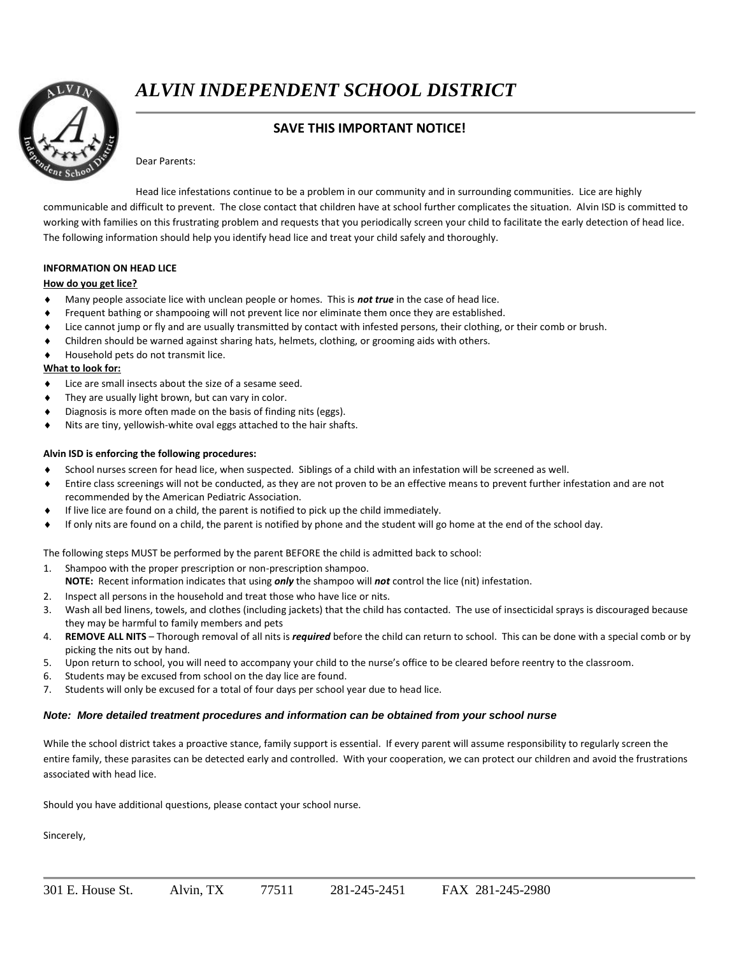

*ALVIN INDEPENDENT SCHOOL DISTRICT*

# **SAVE THIS IMPORTANT NOTICE!**

Dear Parents:

Head lice infestations continue to be a problem in our community and in surrounding communities. Lice are highly communicable and difficult to prevent. The close contact that children have at school further complicates the situation. Alvin ISD is committed to working with families on this frustrating problem and requests that you periodically screen your child to facilitate the early detection of head lice. The following information should help you identify head lice and treat your child safely and thoroughly.

## **INFORMATION ON HEAD LICE**

### **How do you get lice?**

- Many people associate lice with unclean people or homes. This is *not true* in the case of head lice.
- Frequent bathing or shampooing will not prevent lice nor eliminate them once they are established.
- Lice cannot jump or fly and are usually transmitted by contact with infested persons, their clothing, or their comb or brush.
- Children should be warned against sharing hats, helmets, clothing, or grooming aids with others.
- Household pets do not transmit lice.

## **What to look for:**

- Lice are small insects about the size of a sesame seed.
- They are usually light brown, but can vary in color.
- Diagnosis is more often made on the basis of finding nits (eggs).
- Nits are tiny, yellowish-white oval eggs attached to the hair shafts.

## **Alvin ISD is enforcing the following procedures:**

- School nurses screen for head lice, when suspected. Siblings of a child with an infestation will be screened as well.
- Entire class screenings will not be conducted, as they are not proven to be an effective means to prevent further infestation and are not recommended by the American Pediatric Association.
- If live lice are found on a child, the parent is notified to pick up the child immediately.
- If only nits are found on a child, the parent is notified by phone and the student will go home at the end of the school day.

The following steps MUST be performed by the parent BEFORE the child is admitted back to school:

- 1. Shampoo with the proper prescription or non-prescription shampoo. **NOTE:** Recent information indicates that using *only* the shampoo will *not* control the lice (nit) infestation.
- 2. Inspect all persons in the household and treat those who have lice or nits.
- 3. Wash all bed linens, towels, and clothes (including jackets) that the child has contacted. The use of insecticidal sprays is discouraged because they may be harmful to family members and pets
- 4. **REMOVE ALL NITS** Thorough removal of all nits is *required* before the child can return to school. This can be done with a special comb or by picking the nits out by hand.
- 5. Upon return to school, you will need to accompany your child to the nurse's office to be cleared before reentry to the classroom.
- 6. Students may be excused from school on the day lice are found.
- 7. Students will only be excused for a total of four days per school year due to head lice.

## *Note: More detailed treatment procedures and information can be obtained from your school nurse*

While the school district takes a proactive stance, family support is essential. If every parent will assume responsibility to regularly screen the entire family, these parasites can be detected early and controlled. With your cooperation, we can protect our children and avoid the frustrations associated with head lice.

Should you have additional questions, please contact your school nurse.

Sincerely,